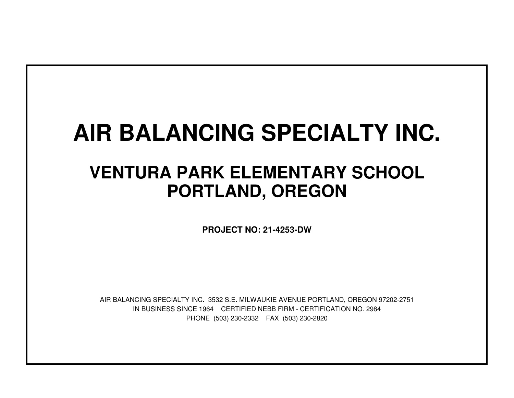# **AIR BALANCING SPECIALTY INC.**

## **VENTURA PARK ELEMENTARY SCHOOLPORTLAND, OREGON**

**PROJECT NO: 21-4253-DW**

IN BUSINESS SINCE 1964 CERTIFIED NEBB FIRM - CERTIFICATION NO. 2984PHONE (503) 230-2332 FAX (503) 230-2820AIR BALANCING SPECIALTY INC. 3532 S.E. MILWAUKIE AVENUE PORTLAND, OREGON 97202-2751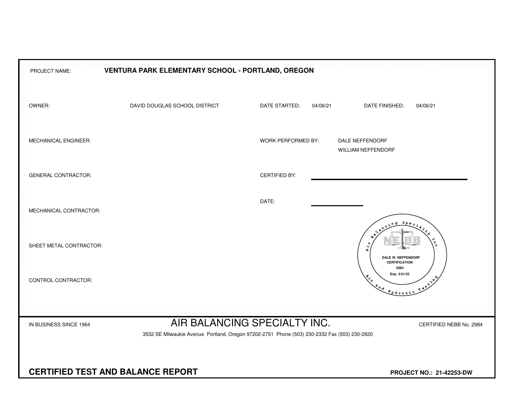| PROJECT NAME:                                                                                                                                                                     | VENTURA PARK ELEMENTARY SCHOOL - PORTLAND, OREGON |                           |                                                                                                                                                                                                                                                                                                                                                                                      |  |  |  |  |  |  |  |  |  |  |  |
|-----------------------------------------------------------------------------------------------------------------------------------------------------------------------------------|---------------------------------------------------|---------------------------|--------------------------------------------------------------------------------------------------------------------------------------------------------------------------------------------------------------------------------------------------------------------------------------------------------------------------------------------------------------------------------------|--|--|--|--|--|--|--|--|--|--|--|
| OWNER:                                                                                                                                                                            | DAVID DOUGLAS SCHOOL DISTRICT                     | DATE STARTED:<br>04/06/21 | DATE FINISHED:<br>04/06/21                                                                                                                                                                                                                                                                                                                                                           |  |  |  |  |  |  |  |  |  |  |  |
| MECHANICAL ENGINEER:                                                                                                                                                              |                                                   | <b>WORK PERFORMED BY:</b> | DALE NEFFENDORF<br><b>WILLIAM NEFFENDORF</b>                                                                                                                                                                                                                                                                                                                                         |  |  |  |  |  |  |  |  |  |  |  |
| <b>GENERAL CONTRACTOR:</b>                                                                                                                                                        |                                                   | <b>CERTIFIED BY:</b>      |                                                                                                                                                                                                                                                                                                                                                                                      |  |  |  |  |  |  |  |  |  |  |  |
| MECHANICAL CONTRACTOR:                                                                                                                                                            |                                                   | DATE:                     | $S_{PQ}$                                                                                                                                                                                                                                                                                                                                                                             |  |  |  |  |  |  |  |  |  |  |  |
| SHEET METAL CONTRACTOR:                                                                                                                                                           |                                                   |                           | Ч<br>4<br>DALE W. NEFFENDORF<br><b>CERTIFICATION</b>                                                                                                                                                                                                                                                                                                                                 |  |  |  |  |  |  |  |  |  |  |  |
| CONTROL CONTRACTOR:                                                                                                                                                               |                                                   |                           | 2984<br>Exp. 3/31/22<br>$x^2$<br>$\begin{picture}(180,10) \put(0,0){\line(1,0){10}} \put(15,0){\line(1,0){10}} \put(15,0){\line(1,0){10}} \put(15,0){\line(1,0){10}} \put(15,0){\line(1,0){10}} \put(15,0){\line(1,0){10}} \put(15,0){\line(1,0){10}} \put(15,0){\line(1,0){10}} \put(15,0){\line(1,0){10}} \put(15,0){\line(1,0){10}} \put(15,0){\line(1,0){10}} \put(15,0){\line($ |  |  |  |  |  |  |  |  |  |  |  |
| AIR BALANCING SPECIALTY INC.<br>IN BUSINESS SINCE 1964<br>CERTIFIED NEBB No. 2984<br>3532 SE Milwaukie Avenue Portland, Oregon 97202-2751 Phone (503) 230-2332 Fax (503) 230-2820 |                                                   |                           |                                                                                                                                                                                                                                                                                                                                                                                      |  |  |  |  |  |  |  |  |  |  |  |
| <b>CERTIFIED TEST AND BALANCE REPORT</b><br>PROJECT NO.: 21-42253-DW                                                                                                              |                                                   |                           |                                                                                                                                                                                                                                                                                                                                                                                      |  |  |  |  |  |  |  |  |  |  |  |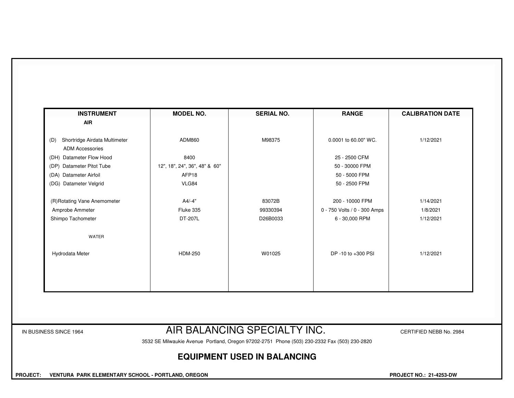| <b>AIR</b>                           |                               |          |                              |           |
|--------------------------------------|-------------------------------|----------|------------------------------|-----------|
| Shortridge Airdata Multimeter<br>(D) | ADM860                        | M98375   | 0.0001 to 60.00" WC.         | 1/12/2021 |
| <b>ADM Accessories</b>               |                               |          |                              |           |
| (DH) Datameter Flow Hood             | 8400                          |          | 25 - 2500 CFM                |           |
| Datameter Pitot Tube<br>(DP)         | 12", 18", 24", 36", 48" & 60" |          | 50 - 30000 FPM               |           |
| (DA) Datameter Airfoil               | AFP18                         |          | 50 - 5000 FPM                |           |
| (DG) Datameter Velgrid               | VLG84                         |          | 50 - 2500 FPM                |           |
| (R)Rotating Vane Anemometer          | $A4/-4"$                      | 83072B   | 200 - 10000 FPM              | 1/14/2021 |
| Amprobe Ammeter                      | Fluke 335                     | 99330394 | 0 - 750 Volts / 0 - 300 Amps | 1/8/2021  |
| Shimpo Tachometer                    | DT-207L                       | D26B0033 | 6 - 30,000 RPM               | 1/12/2021 |
| WATER                                |                               |          |                              |           |
| Hydrodata Meter                      | <b>HDM-250</b>                | W01025   | DP -10 to +300 PSI           | 1/12/2021 |
|                                      |                               |          |                              |           |
|                                      |                               |          |                              |           |
|                                      |                               |          |                              |           |

#### IN BUSINESS SINCE 1964 **AIR BALANCING SPECIALTY INC.** CERTIFIED NEBB No. 2984

3532 SE Milwaukie Avenue Portland, Oregon 97202-2751 Phone (503) 230-2332 Fax (503) 230-2820

### **EQUIPMENT USED IN BALANCING**

 **PROJECT: VENTURA PARK ELEMENTARY SCHOOL - PORTLAND, OREGON PROJECT NO.: 21-4253-DW**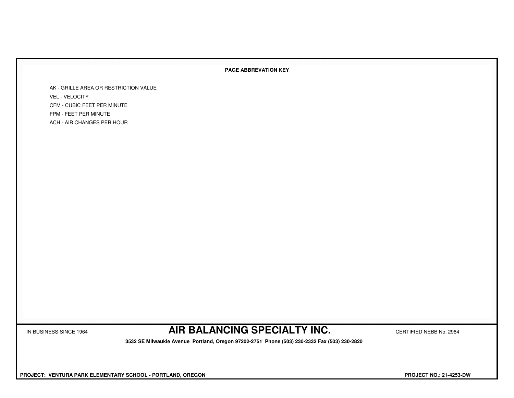#### **PAGE ABBREVATION KEY**

AK - GRILLE AREA OR RESTRICTION VALUEVEL - VELOCITY CFM - CUBIC FEET PER MINUTEFPM - FEET PER MINUTEACH - AIR CHANGES PER HOUR

IN BUSINESS SINCE 1964 **AIR BALANCING SPECIALTY INC.** CERTIFIED NEBB No. 2984

 **3532 SE Milwaukie Avenue Portland, Oregon 97202-2751 Phone (503) 230-2332 Fax (503) 230-2820**

 **PROJECT: VENTURA PARK ELEMENTARY SCHOOL - PORTLAND, OREGON PROJECT NO.: 21-4253-DW**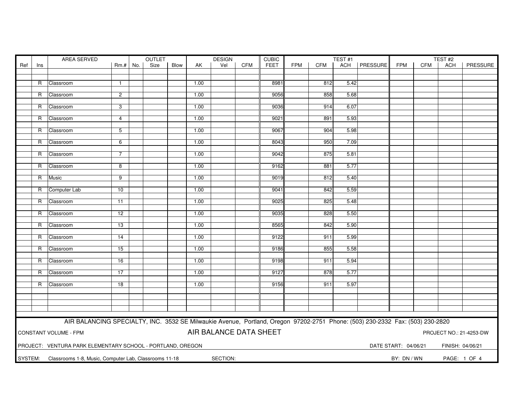|         | AREA SERVED |                                                                                                                               |                         |     | OUTLET<br><b>DESIGN</b> |      |      |                        |            |             | <b>CUBIC</b><br>TEST#1 |            |      |                |                      | TEST#2     |                  |                         |  |  |
|---------|-------------|-------------------------------------------------------------------------------------------------------------------------------|-------------------------|-----|-------------------------|------|------|------------------------|------------|-------------|------------------------|------------|------|----------------|----------------------|------------|------------------|-------------------------|--|--|
| Ref     | Ins         |                                                                                                                               | $Rm.+$                  | No. | Size                    | Blow | AK   | Vel                    | <b>CFM</b> | <b>FEET</b> | <b>FPM</b>             | <b>CFM</b> |      | ACH   PRESSURE | <b>FPM</b>           | <b>CFM</b> | ACH              | PRESSURE                |  |  |
|         |             |                                                                                                                               |                         |     |                         |      |      |                        |            |             |                        |            |      |                |                      |            |                  |                         |  |  |
|         |             |                                                                                                                               |                         |     |                         |      |      |                        |            |             |                        |            |      |                |                      |            |                  |                         |  |  |
|         |             | R Classroom                                                                                                                   | $\mathbf{1}$            |     |                         |      | 1.00 |                        |            | 8981        |                        | 812        | 5.42 |                |                      |            |                  |                         |  |  |
|         |             |                                                                                                                               |                         |     |                         |      |      |                        |            |             |                        |            |      |                |                      |            |                  |                         |  |  |
|         | R           | Classroom                                                                                                                     | $\overline{2}$          |     |                         |      | 1.00 |                        |            | 9056        |                        | 858        | 5.68 |                |                      |            |                  |                         |  |  |
|         | R           | Classroom                                                                                                                     | 3                       |     |                         |      | 1.00 |                        |            | 9036        |                        | 914        | 6.07 |                |                      |            |                  |                         |  |  |
|         |             |                                                                                                                               |                         |     |                         |      |      |                        |            |             |                        |            |      |                |                      |            |                  |                         |  |  |
|         | R           | Classroom                                                                                                                     | $\overline{4}$          |     |                         |      | 1.00 |                        |            | 9021        |                        | 891        | 5.93 |                |                      |            |                  |                         |  |  |
|         |             |                                                                                                                               |                         |     |                         |      |      |                        |            |             |                        |            |      |                |                      |            |                  |                         |  |  |
|         |             | R Classroom                                                                                                                   | 5                       |     |                         |      | 1.00 |                        |            | 9067        |                        | 904        | 5.98 |                |                      |            |                  |                         |  |  |
|         |             |                                                                                                                               |                         |     |                         |      |      |                        |            |             |                        |            |      |                |                      |            |                  |                         |  |  |
|         | R           | Classroom                                                                                                                     | 6                       |     |                         |      | 1.00 |                        |            | 8043        |                        | 950        | 7.09 |                |                      |            |                  |                         |  |  |
|         |             |                                                                                                                               |                         |     |                         |      |      |                        |            |             |                        |            |      |                |                      |            |                  |                         |  |  |
|         | R           | Classroom                                                                                                                     | $\overline{7}$          |     |                         |      | 1.00 |                        |            | 9042        |                        | 875        | 5.81 |                |                      |            |                  |                         |  |  |
|         |             |                                                                                                                               |                         |     |                         |      |      |                        |            |             |                        |            |      |                |                      |            |                  |                         |  |  |
|         |             | R Classroom                                                                                                                   | $\overline{\mathbf{8}}$ |     |                         |      | 1.00 |                        |            | 9162        |                        | 881        | 5.77 |                |                      |            |                  |                         |  |  |
|         |             |                                                                                                                               |                         |     |                         |      |      |                        |            |             |                        |            |      |                |                      |            |                  |                         |  |  |
|         | R           | Music                                                                                                                         | 9                       |     |                         |      | 1.00 |                        |            | 9019        |                        | 812        | 5.40 |                |                      |            |                  |                         |  |  |
|         |             | R Computer Lab                                                                                                                | 10                      |     |                         |      | 1.00 |                        |            | 9041        |                        | 842        | 5.59 |                |                      |            |                  |                         |  |  |
|         |             |                                                                                                                               |                         |     |                         |      |      |                        |            |             |                        |            |      |                |                      |            |                  |                         |  |  |
|         |             | R Classroom                                                                                                                   | 11                      |     |                         |      | 1.00 |                        |            | 9025        |                        | 825        | 5.48 |                |                      |            |                  |                         |  |  |
|         |             |                                                                                                                               |                         |     |                         |      |      |                        |            |             |                        |            |      |                |                      |            |                  |                         |  |  |
|         | R           | Classroom                                                                                                                     | $\overline{12}$         |     |                         |      | 1.00 |                        |            | 9035        |                        | 828        | 5.50 |                |                      |            |                  |                         |  |  |
|         |             |                                                                                                                               |                         |     |                         |      |      |                        |            |             |                        |            |      |                |                      |            |                  |                         |  |  |
|         | R.          | Classroom                                                                                                                     | 13                      |     |                         |      | 1.00 |                        |            | 8565        |                        | 842        | 5.90 |                |                      |            |                  |                         |  |  |
|         |             |                                                                                                                               |                         |     |                         |      |      |                        |            |             |                        |            |      |                |                      |            |                  |                         |  |  |
|         | R           | Classroom                                                                                                                     | $\overline{14}$         |     |                         |      | 1.00 |                        |            | 9122        |                        | 911        | 5.99 |                |                      |            |                  |                         |  |  |
|         |             |                                                                                                                               |                         |     |                         |      |      |                        |            |             |                        |            |      |                |                      |            |                  |                         |  |  |
|         | R           | Classroom                                                                                                                     | 15                      |     |                         |      | 1.00 |                        |            | 9186        |                        | 855        | 5.58 |                |                      |            |                  |                         |  |  |
|         |             |                                                                                                                               |                         |     |                         |      |      |                        |            |             |                        |            |      |                |                      |            |                  |                         |  |  |
|         | R           | Classroom                                                                                                                     | 16                      |     |                         |      | 1.00 |                        |            | 9198        |                        | 911        | 5.94 |                |                      |            |                  |                         |  |  |
|         | R           | Classroom                                                                                                                     | 17                      |     |                         |      | 1.00 |                        |            | 9127        |                        | 878        | 5.77 |                |                      |            |                  |                         |  |  |
|         |             |                                                                                                                               |                         |     |                         |      |      |                        |            |             |                        |            |      |                |                      |            |                  |                         |  |  |
|         | R           | Classroom                                                                                                                     | 18                      |     |                         |      | 1.00 |                        |            | 9156        |                        | 911        | 5.97 |                |                      |            |                  |                         |  |  |
|         |             |                                                                                                                               |                         |     |                         |      |      |                        |            |             |                        |            |      |                |                      |            |                  |                         |  |  |
|         |             |                                                                                                                               |                         |     |                         |      |      |                        |            |             |                        |            |      |                |                      |            |                  |                         |  |  |
|         |             |                                                                                                                               |                         |     |                         |      |      |                        |            |             |                        |            |      |                |                      |            |                  |                         |  |  |
|         |             |                                                                                                                               |                         |     |                         |      |      |                        |            |             |                        |            |      |                |                      |            |                  |                         |  |  |
|         |             |                                                                                                                               |                         |     |                         |      |      |                        |            |             |                        |            |      |                |                      |            |                  |                         |  |  |
|         |             | AIR BALANCING SPECIALTY, INC. 3532 SE Milwaukie Avenue, Portland, Oregon 97202-2751 Phone: (503) 230-2332 Fax: (503) 230-2820 |                         |     |                         |      |      |                        |            |             |                        |            |      |                |                      |            |                  |                         |  |  |
|         |             |                                                                                                                               |                         |     |                         |      |      |                        |            |             |                        |            |      |                |                      |            |                  |                         |  |  |
|         |             | CONSTANT VOLUME - FPM                                                                                                         |                         |     |                         |      |      | AIR BALANCE DATA SHEET |            |             |                        |            |      |                |                      |            |                  | PROJECT NO.: 21-4253-DW |  |  |
|         |             |                                                                                                                               |                         |     |                         |      |      |                        |            |             |                        |            |      |                |                      |            |                  |                         |  |  |
|         |             | PROJECT: VENTURA PARK ELEMENTARY SCHOOL - PORTLAND, OREGON                                                                    |                         |     |                         |      |      |                        |            |             |                        |            |      |                | DATE START: 04/06/21 |            | FINISH: 04/06/21 |                         |  |  |
|         |             |                                                                                                                               |                         |     |                         |      |      |                        |            |             |                        |            |      |                |                      |            |                  |                         |  |  |
| SYSTEM: |             | Classrooms 1-8, Music, Computer Lab, Classrooms 11-18                                                                         |                         |     |                         |      |      | SECTION:               |            |             |                        |            |      |                | BY: DN / WN          |            |                  | PAGE: 1 OF 4            |  |  |
|         |             |                                                                                                                               |                         |     |                         |      |      |                        |            |             |                        |            |      |                |                      |            |                  |                         |  |  |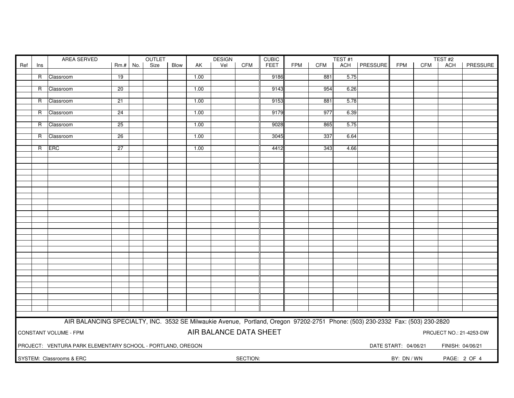|                                      |                | AREA SERVED<br>OUTLET                                                                                                         |            |  |      |      | <b>DESIGN</b> |                        | <b>CUBIC</b> | TEST <sub>#1</sub>          |            |            |      | TEST <sub>#2</sub> |                      |     |                  |                         |
|--------------------------------------|----------------|-------------------------------------------------------------------------------------------------------------------------------|------------|--|------|------|---------------|------------------------|--------------|-----------------------------|------------|------------|------|--------------------|----------------------|-----|------------------|-------------------------|
| Ref                                  | Ins            |                                                                                                                               | $Rm.+$ No. |  | Size | Blow | AK            | Vel                    | CFM          | <b>FEET</b>                 | <b>FPM</b> | <b>CFM</b> | ACH  | PRESSURE           | <b>FPM</b>           | CFM | <b>ACH</b>       | <b>PRESSURE</b>         |
|                                      |                |                                                                                                                               |            |  |      |      |               |                        |              |                             |            |            |      |                    |                      |     |                  |                         |
|                                      | R              | Classroom                                                                                                                     | 19         |  |      |      | 1.00          |                        |              | 9186                        |            | 881        | 5.75 |                    |                      |     |                  |                         |
|                                      |                |                                                                                                                               |            |  |      |      |               |                        |              |                             |            |            |      |                    |                      |     |                  |                         |
|                                      | R              | Classroom                                                                                                                     | 20         |  |      |      | 1.00          |                        |              | 9143                        |            | 954        | 6.26 |                    |                      |     |                  |                         |
|                                      | $\overline{R}$ | Classroom                                                                                                                     | 21         |  |      |      | 1.00          |                        |              | 9153                        |            | 881        | 5.78 |                    |                      |     |                  |                         |
|                                      |                |                                                                                                                               |            |  |      |      |               |                        |              |                             |            |            |      |                    |                      |     |                  |                         |
|                                      | R              | Classroom                                                                                                                     | 24         |  |      |      | 1.00          |                        |              | 9179                        |            | 977        | 6.39 |                    |                      |     |                  |                         |
|                                      |                |                                                                                                                               |            |  |      |      |               |                        |              |                             |            |            |      |                    |                      |     |                  |                         |
|                                      | R              | Classroom                                                                                                                     | 25         |  |      |      | 1.00          |                        |              | 9028                        |            | 865        | 5.75 |                    |                      |     |                  |                         |
|                                      |                |                                                                                                                               |            |  |      |      |               |                        |              |                             |            |            |      |                    |                      |     |                  |                         |
|                                      | R              | Classroom                                                                                                                     | 26         |  |      |      | 1.00          |                        |              | 3045                        |            | 337        | 6.64 |                    |                      |     |                  |                         |
|                                      | R              | <b>ERC</b>                                                                                                                    | 27         |  |      |      | 1.00          |                        |              | 4412                        |            | 343        | 4.66 |                    |                      |     |                  |                         |
|                                      |                |                                                                                                                               |            |  |      |      |               |                        |              |                             |            |            |      |                    |                      |     |                  |                         |
|                                      |                |                                                                                                                               |            |  |      |      |               |                        |              |                             |            |            |      |                    |                      |     |                  |                         |
|                                      |                |                                                                                                                               |            |  |      |      |               |                        |              |                             |            |            |      |                    |                      |     |                  |                         |
|                                      |                |                                                                                                                               |            |  |      |      |               |                        |              |                             |            |            |      |                    |                      |     |                  |                         |
|                                      |                |                                                                                                                               |            |  |      |      |               |                        |              |                             |            |            |      |                    |                      |     |                  |                         |
|                                      |                |                                                                                                                               |            |  |      |      |               |                        |              |                             |            |            |      |                    |                      |     |                  |                         |
|                                      |                |                                                                                                                               |            |  |      |      |               |                        |              |                             |            |            |      |                    |                      |     |                  |                         |
|                                      |                |                                                                                                                               |            |  |      |      |               |                        |              |                             |            |            |      |                    |                      |     |                  |                         |
|                                      |                |                                                                                                                               |            |  |      |      |               |                        |              |                             |            |            |      |                    |                      |     |                  |                         |
|                                      |                |                                                                                                                               |            |  |      |      |               |                        |              |                             |            |            |      |                    |                      |     |                  |                         |
|                                      |                |                                                                                                                               |            |  |      |      |               |                        |              |                             |            |            |      |                    |                      |     |                  |                         |
|                                      |                |                                                                                                                               |            |  |      |      |               |                        |              |                             |            |            |      |                    |                      |     |                  |                         |
|                                      |                |                                                                                                                               |            |  |      |      |               |                        |              |                             |            |            |      |                    |                      |     |                  |                         |
|                                      |                |                                                                                                                               |            |  |      |      |               |                        |              |                             |            |            |      |                    |                      |     |                  |                         |
|                                      |                |                                                                                                                               |            |  |      |      |               |                        |              |                             |            |            |      |                    |                      |     |                  |                         |
|                                      |                |                                                                                                                               |            |  |      |      |               |                        |              |                             |            |            |      |                    |                      |     |                  |                         |
|                                      |                |                                                                                                                               |            |  |      |      |               |                        |              |                             |            |            |      |                    |                      |     |                  |                         |
|                                      |                |                                                                                                                               |            |  |      |      |               |                        |              |                             |            |            |      |                    |                      |     |                  |                         |
|                                      |                |                                                                                                                               |            |  |      |      |               |                        |              |                             |            |            |      |                    |                      |     |                  |                         |
|                                      |                |                                                                                                                               |            |  |      |      |               |                        |              |                             |            |            |      |                    |                      |     |                  |                         |
|                                      |                |                                                                                                                               |            |  |      |      |               |                        |              |                             |            |            |      |                    |                      |     |                  |                         |
|                                      |                |                                                                                                                               |            |  |      |      |               |                        |              |                             |            |            |      |                    |                      |     |                  |                         |
|                                      |                |                                                                                                                               |            |  |      |      |               |                        |              |                             |            |            |      |                    |                      |     |                  |                         |
|                                      |                |                                                                                                                               |            |  |      |      |               |                        |              |                             |            |            |      |                    |                      |     |                  |                         |
|                                      |                |                                                                                                                               |            |  |      |      |               |                        |              |                             |            |            |      |                    |                      |     |                  |                         |
|                                      |                | AIR BALANCING SPECIALTY, INC. 3532 SE Milwaukie Avenue, Portland, Oregon 97202-2751 Phone: (503) 230-2332 Fax: (503) 230-2820 |            |  |      |      |               |                        |              |                             |            |            |      |                    |                      |     |                  |                         |
|                                      |                | CONSTANT VOLUME - FPM                                                                                                         |            |  |      |      |               | AIR BALANCE DATA SHEET |              |                             |            |            |      |                    |                      |     |                  | PROJECT NO.: 21-4253-DW |
|                                      |                | PROJECT: VENTURA PARK ELEMENTARY SCHOOL - PORTLAND, OREGON                                                                    |            |  |      |      |               |                        |              |                             |            |            |      |                    | DATE START: 04/06/21 |     | FINISH: 04/06/21 |                         |
| SYSTEM: Classrooms & ERC<br>SECTION: |                |                                                                                                                               |            |  |      |      |               |                        |              | BY: DN / WN<br>PAGE: 2 OF 4 |            |            |      |                    |                      |     |                  |                         |
|                                      |                |                                                                                                                               |            |  |      |      |               |                        |              |                             |            |            |      |                    |                      |     |                  |                         |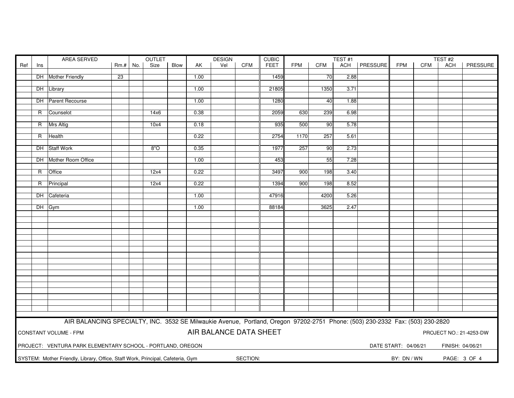|     | AREA SERVED  |                                                                                                                               |            |  | OUTLET |      |      | <b>DESIGN</b>          |            | <b>CUBIC</b> |            |                 | TEST#1 |                |                      |            | TEST#2           |                         |
|-----|--------------|-------------------------------------------------------------------------------------------------------------------------------|------------|--|--------|------|------|------------------------|------------|--------------|------------|-----------------|--------|----------------|----------------------|------------|------------------|-------------------------|
| Ref | Ins          |                                                                                                                               | $Rm.+$ No. |  | Size   | Blow | AK   | Vel                    | <b>CFM</b> | <b>FEET</b>  | <b>FPM</b> | <b>CFM</b>      |        | ACH   PRESSURE | <b>FPM</b>           | <b>CFM</b> | ACH              | PRESSURE                |
|     |              |                                                                                                                               |            |  |        |      |      |                        |            |              |            |                 |        |                |                      |            |                  |                         |
|     |              | DH Mother Friendly                                                                                                            | 23         |  |        |      | 1.00 |                        |            | 1459         |            | 70              | 2.88   |                |                      |            |                  |                         |
|     |              |                                                                                                                               |            |  |        |      |      |                        |            |              |            |                 |        |                |                      |            |                  |                         |
|     |              | DH Library                                                                                                                    |            |  |        |      | 1.00 |                        |            | 21805        |            | 1350            | 3.71   |                |                      |            |                  |                         |
|     |              |                                                                                                                               |            |  |        |      |      |                        |            |              |            |                 |        |                |                      |            |                  |                         |
|     |              | DH Parent Recourse                                                                                                            |            |  |        |      | 1.00 |                        |            | 1280         |            | 40              | 1.88   |                |                      |            |                  |                         |
|     | R            | Counselot                                                                                                                     |            |  | 14x6   |      | 0.38 |                        |            | 2059         | 630        | 239             | 6.98   |                |                      |            |                  |                         |
|     |              |                                                                                                                               |            |  |        |      |      |                        |            |              |            |                 |        |                |                      |            |                  |                         |
|     |              | R Mrs Altig                                                                                                                   |            |  | 10x4   |      | 0.18 |                        |            | 935          | 500        | 90              | 5.78   |                |                      |            |                  |                         |
|     |              |                                                                                                                               |            |  |        |      |      |                        |            |              |            |                 |        |                |                      |            |                  |                         |
|     |              | R Health                                                                                                                      |            |  |        |      | 0.22 |                        |            | 2754         | 1170       | 257             | 5.61   |                |                      |            |                  |                         |
|     |              |                                                                                                                               |            |  |        |      |      |                        |            |              |            |                 |        |                |                      |            |                  |                         |
|     |              | DH Staff Work                                                                                                                 |            |  | 8"O    |      | 0.35 |                        |            | 1977         | 257        | $\overline{90}$ | 2.73   |                |                      |            |                  |                         |
|     |              |                                                                                                                               |            |  |        |      |      |                        |            |              |            |                 |        |                |                      |            |                  |                         |
|     |              | DH Mother Room Office                                                                                                         |            |  |        |      | 1.00 |                        |            | 453          |            | 55              | 7.28   |                |                      |            |                  |                         |
|     |              |                                                                                                                               |            |  |        |      |      |                        |            |              |            |                 |        |                |                      |            |                  |                         |
|     | $\mathsf{R}$ | Office                                                                                                                        |            |  | 12x4   |      | 0.22 |                        |            | 3497         | 900        | 198             | 3.40   |                |                      |            |                  |                         |
|     |              |                                                                                                                               |            |  |        |      |      |                        |            |              | 900        |                 | 8.52   |                |                      |            |                  |                         |
|     |              | R Principal                                                                                                                   |            |  | 12x4   |      | 0.22 |                        |            | 1394         |            | 198             |        |                |                      |            |                  |                         |
|     |              | DH Cafeteria                                                                                                                  |            |  |        |      | 1.00 |                        |            | 47916        |            | 4200            | 5.26   |                |                      |            |                  |                         |
|     |              |                                                                                                                               |            |  |        |      |      |                        |            |              |            |                 |        |                |                      |            |                  |                         |
|     |              | DH Gym                                                                                                                        |            |  |        |      | 1.00 |                        |            | 88184        |            | 3625            | 2.47   |                |                      |            |                  |                         |
|     |              |                                                                                                                               |            |  |        |      |      |                        |            |              |            |                 |        |                |                      |            |                  |                         |
|     |              |                                                                                                                               |            |  |        |      |      |                        |            |              |            |                 |        |                |                      |            |                  |                         |
|     |              |                                                                                                                               |            |  |        |      |      |                        |            |              |            |                 |        |                |                      |            |                  |                         |
|     |              |                                                                                                                               |            |  |        |      |      |                        |            |              |            |                 |        |                |                      |            |                  |                         |
|     |              |                                                                                                                               |            |  |        |      |      |                        |            |              |            |                 |        |                |                      |            |                  |                         |
|     |              |                                                                                                                               |            |  |        |      |      |                        |            |              |            |                 |        |                |                      |            |                  |                         |
|     |              |                                                                                                                               |            |  |        |      |      |                        |            |              |            |                 |        |                |                      |            |                  |                         |
|     |              |                                                                                                                               |            |  |        |      |      |                        |            |              |            |                 |        |                |                      |            |                  |                         |
|     |              |                                                                                                                               |            |  |        |      |      |                        |            |              |            |                 |        |                |                      |            |                  |                         |
|     |              |                                                                                                                               |            |  |        |      |      |                        |            |              |            |                 |        |                |                      |            |                  |                         |
|     |              |                                                                                                                               |            |  |        |      |      |                        |            |              |            |                 |        |                |                      |            |                  |                         |
|     |              |                                                                                                                               |            |  |        |      |      |                        |            |              |            |                 |        |                |                      |            |                  |                         |
|     |              |                                                                                                                               |            |  |        |      |      |                        |            |              |            |                 |        |                |                      |            |                  |                         |
|     |              |                                                                                                                               |            |  |        |      |      |                        |            |              |            |                 |        |                |                      |            |                  |                         |
|     |              |                                                                                                                               |            |  |        |      |      |                        |            |              |            |                 |        |                |                      |            |                  |                         |
|     |              |                                                                                                                               |            |  |        |      |      |                        |            |              |            |                 |        |                |                      |            |                  |                         |
|     |              |                                                                                                                               |            |  |        |      |      |                        |            |              |            |                 |        |                |                      |            |                  |                         |
|     |              | AIR BALANCING SPECIALTY, INC. 3532 SE Milwaukie Avenue, Portland, Oregon 97202-2751 Phone: (503) 230-2332 Fax: (503) 230-2820 |            |  |        |      |      |                        |            |              |            |                 |        |                |                      |            |                  |                         |
|     |              |                                                                                                                               |            |  |        |      |      |                        |            |              |            |                 |        |                |                      |            |                  |                         |
|     |              | CONSTANT VOLUME - FPM                                                                                                         |            |  |        |      |      | AIR BALANCE DATA SHEET |            |              |            |                 |        |                |                      |            |                  | PROJECT NO.: 21-4253-DW |
|     |              |                                                                                                                               |            |  |        |      |      |                        |            |              |            |                 |        |                |                      |            |                  |                         |
|     |              | PROJECT: VENTURA PARK ELEMENTARY SCHOOL - PORTLAND, OREGON                                                                    |            |  |        |      |      |                        |            |              |            |                 |        |                | DATE START: 04/06/21 |            | FINISH: 04/06/21 |                         |
|     |              |                                                                                                                               |            |  |        |      |      |                        |            |              |            |                 |        |                |                      |            |                  |                         |
|     |              | SYSTEM: Mother Friendly, Library, Office, Staff Work, Principal, Cafeteria, Gym                                               |            |  |        |      |      |                        | SECTION:   |              |            |                 |        |                | BY: DN / WN          |            |                  | PAGE: 3 OF 4            |
|     |              |                                                                                                                               |            |  |        |      |      |                        |            |              |            |                 |        |                |                      |            |                  |                         |